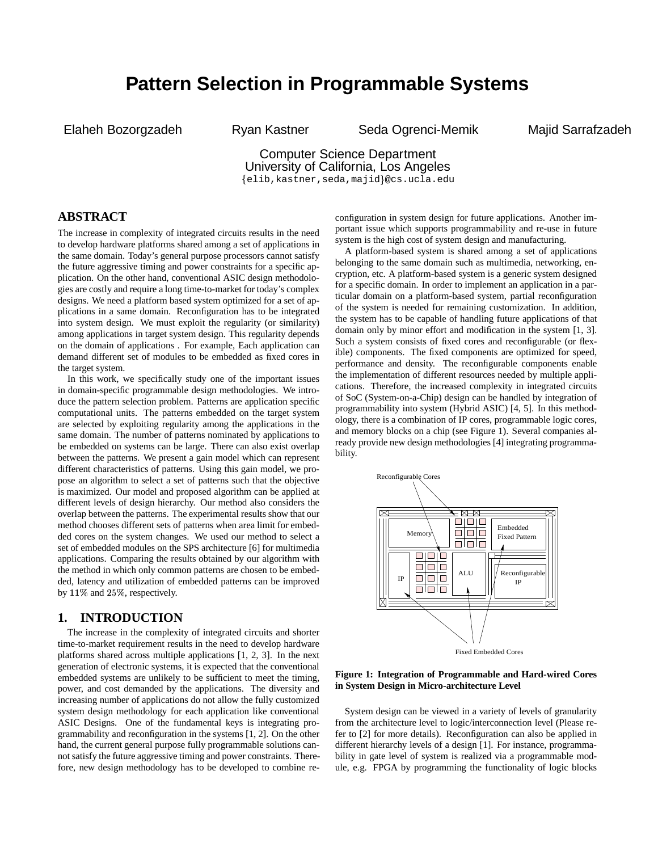# **Pattern Selection in Programmable Systems**

Elaheh Bozorgzadeh Ryan Kastner Seda Ogrenci-Memik Majid Sarrafzadeh

# Computer Science Department University of California, Los Angeles elib,kastner,seda,majid @cs.ucla.edu

# **ABSTRACT**

The increase in complexity of integrated circuits results in the need to develop hardware platforms shared among a set of applications in the same domain. Today's general purpose processors cannot satisfy the future aggressive timing and power constraints for a specific application. On the other hand, conventional ASIC design methodologies are costly and require a long time-to-market for today's complex designs. We need a platform based system optimized for a set of applications in a same domain. Reconfiguration has to be integrated into system design. We must exploit the regularity (or similarity) among applications in target system design. This regularity depends on the domain of applications . For example, Each application can demand different set of modules to be embedded as fixed cores in the target system.

In this work, we specifically study one of the important issues in domain-specific programmable design methodologies. We introduce the pattern selection problem. Patterns are application specific computational units. The patterns embedded on the target system are selected by exploiting regularity among the applications in the same domain. The number of patterns nominated by applications to be embedded on systems can be large. There can also exist overlap between the patterns. We present a gain model which can represent different characteristics of patterns. Using this gain model, we propose an algorithm to select a set of patterns such that the objective is maximized. Our model and proposed algorithm can be applied at different levels of design hierarchy. Our method also considers the overlap between the patterns. The experimental results show that our method chooses different sets of patterns when area limit for embedded cores on the system changes. We used our method to select a set of embedded modules on the SPS architecture [6] for multimedia applications. Comparing the results obtained by our algorithm with the method in which only common patterns are chosen to be embedded, latency and utilization of embedded patterns can be improved by  $11\%$  and  $25\%$ , respectively.

## **1. INTRODUCTION**

The increase in the complexity of integrated circuits and shorter time-to-market requirement results in the need to develop hardware platforms shared across multiple applications [1, 2, 3]. In the next generation of electronic systems, it is expected that the conventional embedded systems are unlikely to be sufficient to meet the timing, power, and cost demanded by the applications. The diversity and increasing number of applications do not allow the fully customized system design methodology for each application like conventional ASIC Designs. One of the fundamental keys is integrating programmability and reconfiguration in the systems [1, 2]. On the other hand, the current general purpose fully programmable solutions cannot satisfy the future aggressive timing and power constraints. Therefore, new design methodology has to be developed to combine reconfiguration in system design for future applications. Another important issue which supports programmability and re-use in future system is the high cost of system design and manufacturing.

A platform-based system is shared among a set of applications belonging to the same domain such as multimedia, networking, encryption, etc. A platform-based system is a generic system designed for a specific domain. In order to implement an application in a particular domain on a platform-based system, partial reconfiguration of the system is needed for remaining customization. In addition, the system has to be capable of handling future applications of that domain only by minor effort and modification in the system [1, 3]. Such a system consists of fixed cores and reconfigurable (or flexible) components. The fixed components are optimized for speed, performance and density. The reconfigurable components enable the implementation of different resources needed by multiple applications. Therefore, the increased complexity in integrated circuits of SoC (System-on-a-Chip) design can be handled by integration of programmability into system (Hybrid ASIC) [4, 5]. In this methodology, there is a combination of IP cores, programmable logic cores, and memory blocks on a chip (see Figure 1). Several companies already provide new design methodologies [4] integrating programmability.



#### **Figure 1: Integration of Programmable and Hard-wired Cores in System Design in Micro-architecture Level**

System design can be viewed in a variety of levels of granularity from the architecture level to logic/interconnection level (Please refer to [2] for more details). Reconfiguration can also be applied in different hierarchy levels of a design [1]. For instance, programmability in gate level of system is realized via a programmable module, e.g. FPGA by programming the functionality of logic blocks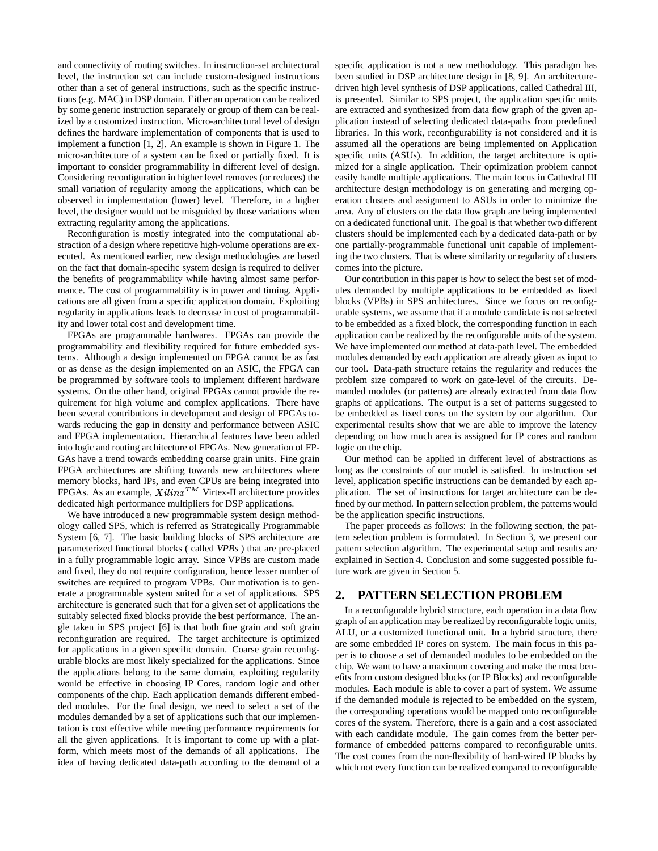and connectivity of routing switches. In instruction-set architectural level, the instruction set can include custom-designed instructions other than a set of general instructions, such as the specific instructions (e.g. MAC) in DSP domain. Either an operation can be realized by some generic instruction separately or group of them can be realized by a customized instruction. Micro-architectural level of design defines the hardware implementation of components that is used to implement a function [1, 2]. An example is shown in Figure 1. The micro-architecture of a system can be fixed or partially fixed. It is important to consider programmability in different level of design. Considering reconfiguration in higher level removes (or reduces) the small variation of regularity among the applications, which can be observed in implementation (lower) level. Therefore, in a higher level, the designer would not be misguided by those variations when extracting regularity among the applications.

Reconfiguration is mostly integrated into the computational abstraction of a design where repetitive high-volume operations are executed. As mentioned earlier, new design methodologies are based on the fact that domain-specific system design is required to deliver the benefits of programmability while having almost same performance. The cost of programmability is in power and timing. Applications are all given from a specific application domain. Exploiting regularity in applications leads to decrease in cost of programmability and lower total cost and development time.

FPGAs are programmable hardwares. FPGAs can provide the programmability and flexibility required for future embedded systems. Although a design implemented on FPGA cannot be as fast or as dense as the design implemented on an ASIC, the FPGA can be programmed by software tools to implement different hardware systems. On the other hand, original FPGAs cannot provide the requirement for high volume and complex applications. There have been several contributions in development and design of FPGAs towards reducing the gap in density and performance between ASIC and FPGA implementation. Hierarchical features have been added into logic and routing architecture of FPGAs. New generation of FP-GAs have a trend towards embedding coarse grain units. Fine grain FPGA architectures are shifting towards new architectures where memory blocks, hard IPs, and even CPUs are being integrated into FPGAs. As an example,  $X \, \text{d} \, \text{d} \, \text{d} \, \text{d} \, \text{d} \, \text{d} \, \text{d} \, \text{d} \, \text{d} \, \text{d} \, \text{d} \, \text{d} \, \text{d} \, \text{d} \, \text{d} \, \text{d} \, \text{d} \, \text{d} \, \text{d} \, \text{e}$ dedicated high performance multipliers for DSP applications.

We have introduced a new programmable system design methodology called SPS, which is referred as Strategically Programmable System [6, 7]. The basic building blocks of SPS architecture are parameterized functional blocks ( called *VPBs* ) that are pre-placed in a fully programmable logic array. Since VPBs are custom made and fixed, they do not require configuration, hence lesser number of switches are required to program VPBs. Our motivation is to generate a programmable system suited for a set of applications. SPS architecture is generated such that for a given set of applications the suitably selected fixed blocks provide the best performance. The angle taken in SPS project [6] is that both fine grain and soft grain reconfiguration are required. The target architecture is optimized for applications in a given specific domain. Coarse grain reconfigurable blocks are most likely specialized for the applications. Since the applications belong to the same domain, exploiting regularity would be effective in choosing IP Cores, random logic and other components of the chip. Each application demands different embedded modules. For the final design, we need to select a set of the modules demanded by a set of applications such that our implementation is cost effective while meeting performance requirements for all the given applications. It is important to come up with a platform, which meets most of the demands of all applications. The idea of having dedicated data-path according to the demand of a specific application is not a new methodology. This paradigm has been studied in DSP architecture design in [8, 9]. An architecturedriven high level synthesis of DSP applications, called Cathedral III, is presented. Similar to SPS project, the application specific units are extracted and synthesized from data flow graph of the given application instead of selecting dedicated data-paths from predefined libraries. In this work, reconfigurability is not considered and it is assumed all the operations are being implemented on Application specific units (ASUs). In addition, the target architecture is optimized for a single application. Their optimization problem cannot easily handle multiple applications. The main focus in Cathedral III architecture design methodology is on generating and merging operation clusters and assignment to ASUs in order to minimize the area. Any of clusters on the data flow graph are being implemented on a dedicated functional unit. The goal is that whether two different clusters should be implemented each by a dedicated data-path or by one partially-programmable functional unit capable of implementing the two clusters. That is where similarity or regularity of clusters comes into the picture.

Our contribution in this paper is how to select the best set of modules demanded by multiple applications to be embedded as fixed blocks (VPBs) in SPS architectures. Since we focus on reconfigurable systems, we assume that if a module candidate is not selected to be embedded as a fixed block, the corresponding function in each application can be realized by the reconfigurable units of the system. We have implemented our method at data-path level. The embedded modules demanded by each application are already given as input to our tool. Data-path structure retains the regularity and reduces the problem size compared to work on gate-level of the circuits. Demanded modules (or patterns) are already extracted from data flow graphs of applications. The output is a set of patterns suggested to be embedded as fixed cores on the system by our algorithm. Our experimental results show that we are able to improve the latency depending on how much area is assigned for IP cores and random logic on the chip.

Our method can be applied in different level of abstractions as long as the constraints of our model is satisfied. In instruction set level, application specific instructions can be demanded by each application. The set of instructions for target architecture can be defined by our method. In pattern selection problem, the patterns would be the application specific instructions.

The paper proceeds as follows: In the following section, the pattern selection problem is formulated. In Section 3, we present our pattern selection algorithm. The experimental setup and results are explained in Section 4. Conclusion and some suggested possible future work are given in Section 5.

# **2. PATTERN SELECTION PROBLEM**

In a reconfigurable hybrid structure, each operation in a data flow graph of an application may be realized by reconfigurable logic units, ALU, or a customized functional unit. In a hybrid structure, there are some embedded IP cores on system. The main focus in this paper is to choose a set of demanded modules to be embedded on the chip. We want to have a maximum covering and make the most benefits from custom designed blocks (or IP Blocks) and reconfigurable modules. Each module is able to cover a part of system. We assume if the demanded module is rejected to be embedded on the system, the corresponding operations would be mapped onto reconfigurable cores of the system. Therefore, there is a gain and a cost associated with each candidate module. The gain comes from the better performance of embedded patterns compared to reconfigurable units. The cost comes from the non-flexibility of hard-wired IP blocks by which not every function can be realized compared to reconfigurable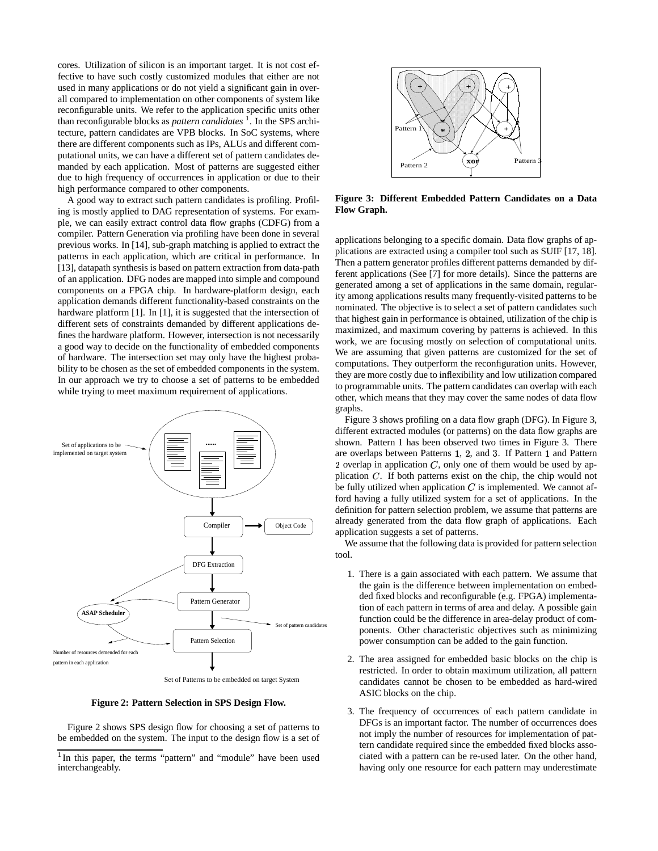cores. Utilization of silicon is an important target. It is not cost effective to have such costly customized modules that either are not used in many applications or do not yield a significant gain in overall compared to implementation on other components of system like reconfigurable units. We refer to the application specific units other than reconfigurable blocks as *pattern candidates* <sup>1</sup> . In the SPS architecture, pattern candidates are VPB blocks. In SoC systems, where there are different components such as IPs, ALUs and different computational units, we can have a different set of pattern candidates demanded by each application. Most of patterns are suggested either due to high frequency of occurrences in application or due to their high performance compared to other components.

A good way to extract such pattern candidates is profiling. Profiling is mostly applied to DAG representation of systems. For example, we can easily extract control data flow graphs (CDFG) from a compiler. Pattern Generation via profiling have been done in several previous works. In [14], sub-graph matching is applied to extract the patterns in each application, which are critical in performance. In [13], datapath synthesis is based on pattern extraction from data-path of an application. DFG nodes are mapped into simple and compound components on a FPGA chip. In hardware-platform design, each application demands different functionality-based constraints on the hardware platform [1]. In [1], it is suggested that the intersection of different sets of constraints demanded by different applications defines the hardware platform. However, intersection is not necessarily a good way to decide on the functionality of embedded components of hardware. The intersection set may only have the highest probability to be chosen as the set of embedded components in the system. In our approach we try to choose a set of patterns to be embedded while trying to meet maximum requirement of applications.



Set of Patterns to be embedded on target System

**Figure 2: Pattern Selection in SPS Design Flow.**

Figure 2 shows SPS design flow for choosing a set of patterns to be embedded on the system. The input to the design flow is a set of



**Figure 3: Different Embedded Pattern Candidates on a Data Flow Graph.**

applications belonging to a specific domain. Data flow graphs of applications are extracted using a compiler tool such as SUIF [17, 18]. Then a pattern generator profiles different patterns demanded by different applications (See [7] for more details). Since the patterns are generated among a set of applications in the same domain, regularity among applications results many frequently-visited patterns to be nominated. The objective is to select a set of pattern candidates such that highest gain in performance is obtained, utilization of the chip is maximized, and maximum covering by patterns is achieved. In this work, we are focusing mostly on selection of computational units. We are assuming that given patterns are customized for the set of computations. They outperform the reconfiguration units. However, they are more costly due to inflexibility and low utilization compared to programmable units. The pattern candidates can overlap with each other, which means that they may cover the same nodes of data flow graphs.

Figure 3 shows profiling on a data flow graph (DFG). In Figure 3, different extracted modules (or patterns) on the data flow graphs are shown. Pattern 1 has been observed two times in Figure 3. There are overlaps between Patterns 1, 2, and 3. If Pattern 1 and Pattern 2 overlap in application  $C$ , only one of them would be used by application  $C$ . If both patterns exist on the chip, the chip would not be fully utilized when application  $C$  is implemented. We cannot afford having a fully utilized system for a set of applications. In the definition for pattern selection problem, we assume that patterns are already generated from the data flow graph of applications. Each application suggests a set of patterns.

We assume that the following data is provided for pattern selection tool.

- 1. There is a gain associated with each pattern. We assume that the gain is the difference between implementation on embedded fixed blocks and reconfigurable (e.g. FPGA) implementation of each pattern in terms of area and delay. A possible gain function could be the difference in area-delay product of components. Other characteristic objectives such as minimizing power consumption can be added to the gain function.
- 2. The area assigned for embedded basic blocks on the chip is restricted. In order to obtain maximum utilization, all pattern candidates cannot be chosen to be embedded as hard-wired ASIC blocks on the chip.
- 3. The frequency of occurrences of each pattern candidate in DFGs is an important factor. The number of occurrences does not imply the number of resources for implementation of pattern candidate required since the embedded fixed blocks associated with a pattern can be re-used later. On the other hand, having only one resource for each pattern may underestimate

<sup>&</sup>lt;sup>1</sup>In this paper, the terms "pattern" and "module" have been used interchangeably.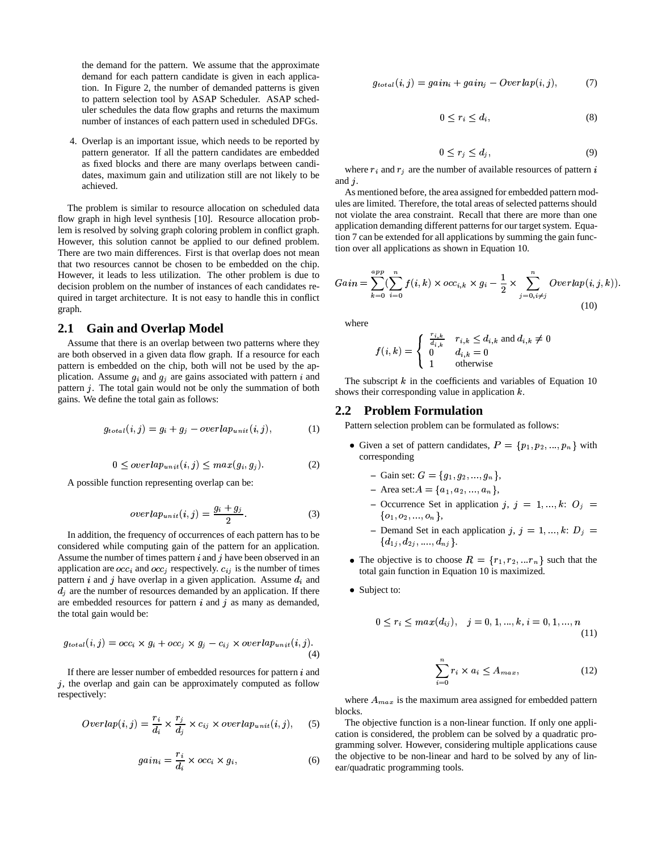the demand for the pattern. We assume that the approximate demand for each pattern candidate is given in each application. In Figure 2, the number of demanded patterns is given to pattern selection tool by ASAP Scheduler. ASAP scheduler schedules the data flow graphs and returns the maximum number of instances of each pattern used in scheduled DFGs.

4. Overlap is an important issue, which needs to be reported by pattern generator. If all the pattern candidates are embedded as fixed blocks and there are many overlaps between candidates, maximum gain and utilization still are not likely to be achieved.

The problem is similar to resource allocation on scheduled data flow graph in high level synthesis [10]. Resource allocation problem is resolved by solving graph coloring problem in conflict graph. However, this solution cannot be applied to our defined problem. There are two main differences. First is that overlap does not mean that two resources cannot be chosen to be embedded on the chip. However, it leads to less utilization. The other problem is due to decision problem on the number of instances of each candidates required in target architecture. It is not easy to handle this in conflict graph.

### **2.1 Gain and Overlap Model**

Assume that there is an overlap between two patterns where they are both observed in a given data flow graph. If a resource for each pattern is embedded on the chip, both will not be used by the application. Assume  $g_i$  and  $g_j$  are gains associated with pattern i and pattern  $j$ . The total gain would not be only the summation of both gains. We define the total gain as follows:

$$
g_{total}(i,j) = g_i + g_j - overlap_{unit}(i,j),
$$
 (1)

$$
0 \le \text{overlap}_{unit}(i,j) \le \max(g_i, g_j). \tag{2}
$$

A possible function representing overlap can be:

$$
overlap_{unit}(i,j) = \frac{g_i + g_j}{2}.\tag{3}
$$

In addition, the frequency of occurrences of each pattern has to be considered while computing gain of the pattern for an application. Assume the number of times pattern  $i$  and  $j$  have been observed in an application are  $occ_i$  and  $occ_j$  respectively.  $c_{ij}$  is the number of times pattern *i* and *j* have overlap in a given application. Assume  $d_i$  and  $d_j$  are the number of resources demanded by an application. If there are embedded resources for pattern  $i$  and  $j$  as many as demanded, the total gain would be:

$$
g_{total}(i,j) = occ_i \times g_i + occ_j \times g_j - c_{ij} \times overlap_{unit}(i,j).
$$
\n(4)

If there are lesser number of embedded resources for pattern  $i$  and  $j$ , the overlap and gain can be approximately computed as follow respectively:

$$
Overlap(i, j) = \frac{r_i}{d_i} \times \frac{r_j}{d_j} \times c_{ij} \times overlap_{unit}(i, j), \quad (5)
$$

$$
gain_i = \frac{r_i}{d_i} \times occ_i \times g_i,
$$
 (6)

$$
g_{total}(i,j) = gain_i + gain_j - Overlap(i,j), \qquad (7)
$$

$$
0 \le r_i \le d_i,\tag{8}
$$

$$
0 \le r_j \le d_j,\tag{9}
$$

where  $r_i$  and  $r_j$  are the number of available resources of pattern i and  $j$ .

As mentioned before, the area assigned for embedded pattern modules are limited. Therefore, the total areas of selected patterns should not violate the area constraint. Recall that there are more than one application demanding different patterns for our target system. Equation 7 can be extended for all applications by summing the gain function over all applications as shown in Equation 10.

$$
Gain = \sum_{k=0}^{app} (\sum_{i=0}^{n} f(i,k) \times occ_{i,k} \times g_i - \frac{1}{2} \times \sum_{j=0, i \neq j}^{n} Overlap(i, j, k)).
$$
\n(10)

where

$$
f(i,k) = \begin{cases} \begin{array}{ll} \frac{r_{i,k}}{d_{i,k}} & r_{i,k} \leq d_{i,k} \text{ and } d_{i,k} \neq 0\\ 0 & d_{i,k} = 0\\ 1 & \text{otherwise} \end{array} \end{cases}
$$

The subscript  $k$  in the coefficients and variables of Equation 10 shows their corresponding value in application  $k$ .

#### **2.2 Problem Formulation**

Pattern selection problem can be formulated as follows:

• Given a set of pattern candidates,  $P = \{p_1, p_2, ..., p_n\}$  with corresponding

- Gain set: 
$$
G = \{g_1, g_2, ..., g_n\},\
$$

- Area set: 
$$
A = \{a_1, a_2, ..., a_n\},\
$$

- $\sim$  Occurrence Set in application j,  $j = 1, ..., k$ :  $Q_j =$  $\{o_1, o_2, ..., o_n\},\$
- $P =$  Demand Set in each application  $j, j = 1, ..., k$ :  $D_j =$  $\{d_{1j}, d_{2j},...., d_{nj}\}.$
- The objective is to choose  $R = \{r_1, r_2, ... r_n\}$  such that the total gain function in Equation 10 is maximized.
- Subject to:

$$
0 \le r_i \le max(d_{ij}), \quad j = 0, 1, ..., k, i = 0, 1, ..., n
$$
\n(11)

$$
\sum_{i=0}^{n} r_i \times a_i \le A_{max},\tag{12}
$$

where  $A_{max}$  is the maximum area assigned for embedded pattern blocks.

The objective function is a non-linear function. If only one application is considered, the problem can be solved by a quadratic programming solver. However, considering multiple applications cause the objective to be non-linear and hard to be solved by any of linear/quadratic programming tools.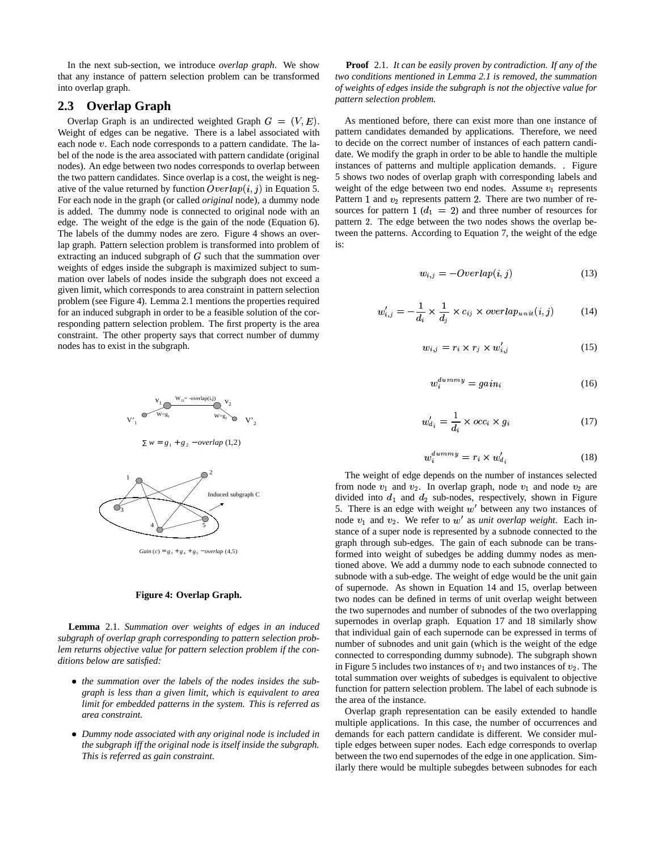In the next sub-section, we introduce *overlap graph*. We show that any instance of pattern selection problem can be transformed into overlap graph.

# **2.3 Overlap Graph**

Overlap Graph is an undirected weighted Graph  $G = (V, E)$ . As m Weight of edges can be negative. There is a label associated with each node  $v$ . Each node corresponds to a pattern candidate. The label of the node is the area associated with pattern candidate (original nodes). An edge between two nodes corresponds to overlap between the two pattern candidates. Since overlap is a cost, the weight is negative of the value returned by function  $\text{Overlap}(i, j)$  in Equation 5. For each node in the graph (or called *original* node), a dummy node is added. The dummy node is connected to original node with an edge. The weight of the edge is the gain of the node (Equation 6). The labels of the dummy nodes are zero. Figure 4 shows an overlap graph. Pattern selection problem is transformed into problem of extracting an induced subgraph of G such that the summation over weights of edges inside the subgraph is maximized subject to summation over labels of nodes inside the subgraph does not exceed a given limit, which corresponds to area constraint in pattern selection problem (see Figure 4). Lemma 2.1 mentions the properties required for an induced subgraph in order to be a feasible solution of the corresponding pattern selection problem. The first property is the area constraint. The other property says that correct number of dummy nodes has to exist in the subgraph.



 $\sum w = g_1 + g_2 - overlap (1,2)$ 



 $Gain (c) = g_3 + g_4 + g_5 - overlap (4,5)$ 

#### **Figure 4: Overlap Graph.**

**Lemma** 2.1. *Summation over weights of edges in an induced subgraph of overlap graph corresponding to pattern selection problem returns objective value for pattern selection problem if the conditions below are satisfied:*

- the summation over the labels of the nodes insides the sub*graph is less than a given limit, which is equivalent to area limit for embedded patterns in the system. This is referred as area constraint.*
- ` *Dummy node associated with any original node is included in the subgraph iff the original node is itself inside the subgraph. This is referred as gain constraint.*

**Proof** 2.1. *It can be easily proven by contradiction. If any of the two conditions mentioned in Lemma 2.1 is removed, the summation of weights of edges inside the subgraph is not the objective value for pattern selection problem.*

As mentioned before, there can exist more than one instance of pattern candidates demanded by applications. Therefore, we need to decide on the correct number of instances of each pattern candidate. We modify the graph in order to be able to handle the multiple instances of patterns and multiple application demands. . Figure 5 shows two nodes of overlap graph with corresponding labels and weight of the edge between two end nodes. Assume  $v_1$  represents Pattern 1 and  $v_2$  represents pattern 2. There are two number of resources for pattern 1  $(d_1 = 2)$  and three number of resources for pattern 2. The edge between the two nodes shows the overlap between the patterns. According to Equation 7, the weight of the edge is:

$$
w_{i,j} = -Overlap(i,j) \tag{13}
$$

$$
w'_{i,j} = -\frac{1}{d_i} \times \frac{1}{d_j} \times c_{ij} \times overlap_{unit}(i,j) \tag{14}
$$

$$
w_{i,j} = r_i \times r_j \times w'_{i,j} \tag{15}
$$

$$
w_i^{dummy} = gain_i \tag{16}
$$

$$
w'_{d_i} = \frac{1}{d_i} \times occ_i \times g_i \tag{17}
$$

$$
w_i^{dummy} = r_i \times w_{d_i}^\prime \tag{18}
$$

The weight of edge depends on the number of instances selected from node  $v_1$  and  $v_2$ . In overlap graph, node  $v_1$  and node  $v_2$  are divided into  $d_1$  and  $d_2$  sub-nodes, respectively, shown in Figure 5. There is an edge with weight  $w'$  between any two instances of node  $v_1$  and  $v_2$ . We refer to  $w'$  as *unit overlap weight*. Each instance of a super node is represented by a subnode connected to the graph through sub-edges. The gain of each subnode can be transformed into weight of subedges be adding dummy nodes as mentioned above. We add a dummy node to each subnode connected to subnode with a sub-edge. The weight of edge would be the unit gain of supernode. As shown in Equation 14 and 15, overlap between two nodes can be defined in terms of unit overlap weight between the two supernodes and number of subnodes of the two overlapping supernodes in overlap graph. Equation 17 and 18 similarly show that individual gain of each supernode can be expressed in terms of number of subnodes and unit gain (which is the weight of the edge connected to corresponding dummy subnode). The subgraph shown in Figure 5 includes two instances of  $v_1$  and two instances of  $v_2$ . The total summation over weights of subedges is equivalent to objective function for pattern selection problem. The label of each subnode is the area of the instance.

Overlap graph representation can be easily extended to handle multiple applications. In this case, the number of occurrences and demands for each pattern candidate is different. We consider multiple edges between super nodes. Each edge corresponds to overlap between the two end supernodes of the edge in one application. Similarly there would be multiple subegdes between subnodes for each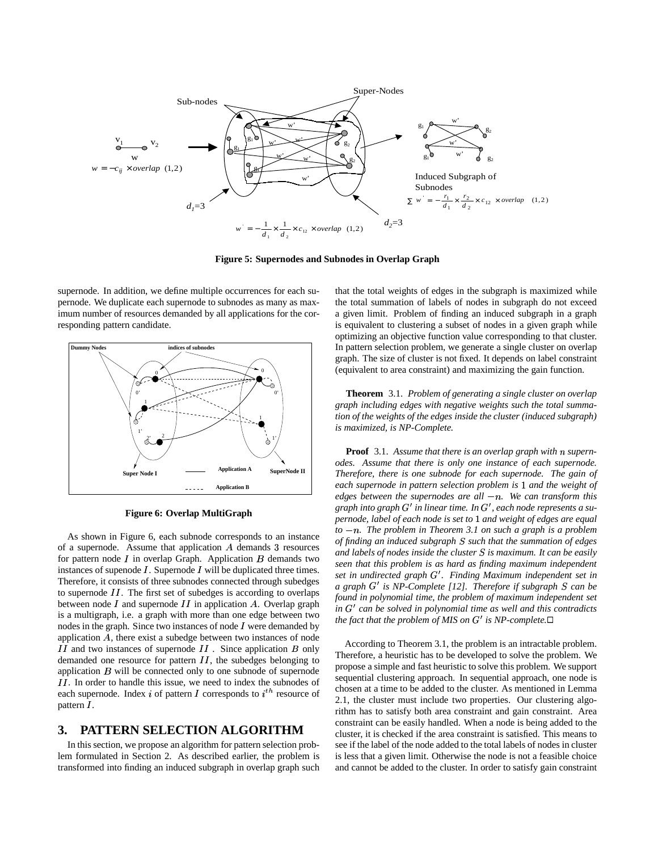

**Figure 5: Supernodes and Subnodes in Overlap Graph**

supernode. In addition, we define multiple occurrences for each supernode. We duplicate each supernode to subnodes as many as maximum number of resources demanded by all applications for the corresponding pattern candidate.



**Figure 6: Overlap MultiGraph**

As shown in Figure 6, each subnode corresponds to an instance of a supernode. Assume that application  $A$  demands 3 resources for pattern node  $I$  in overlap Graph. Application  $B$  demands two instances of supenode  $I$ . Supernode  $I$  will be duplicated three times. Therefore, it consists of three subnodes connected through subedges to supernode  $II$ . The first set of subedges is according to overlaps between node  $I$  and supernode  $II$  in application  $A$ . Overlap graph is a multigraph, i.e. a graph with more than one edge between two nodes in the graph. Since two instances of node  $I$  were demanded by application  $A$ , there exist a subedge between two instances of node II and two instances of supernode II. Since application B only demanded one resource for pattern  $II$ , the subedges belonging to application  $B$  will be connected only to one subnode of supernode II. In order to handle this issue, we need to index the subnodes of each supernode. Index *i* of pattern *I* corresponds to  $i^{th}$  resource of pattern  $I$ .

## **3. PATTERN SELECTION ALGORITHM**

In this section, we propose an algorithm for pattern selection problem formulated in Section 2. As described earlier, the problem is transformed into finding an induced subgraph in overlap graph such

that the total weights of edges in the subgraph is maximized while the total summation of labels of nodes in subgraph do not exceed a given limit. Problem of finding an induced subgraph in a graph is equivalent to clustering a subset of nodes in a given graph while optimizing an objective function value corresponding to that cluster. In pattern selection problem, we generate a single cluster on overlap graph. The size of cluster is not fixed. It depends on label constraint (equivalent to area constraint) and maximizing the gain function.

**Theorem** 3.1. *Problem of generating a single cluster on overlap graph including edges with negative weights such the total summation of the weights of the edges inside the cluster (induced subgraph) is maximized, is NP-Complete.*

**Proof** 3.1. *Assume that there is an overlap graph with supernodes. Assume that there is only one instance of each supernode. Therefore, there is one subnode for each supernode. The gain of* each supernode in pattern selection problem is 1 and the weight of *edges between the supernodes are all . We can transform this graph into graph* G *in linear time. In* G *, each node represents a supernode, label of each node is set to* - *and weight of edges are equal*  $to -n$ . The problem in Theorem 3.1 on such a graph is a problem *of finding an induced subgraph such that thesummation of edges and labels of nodes inside the cluster is maximum. It can be easily seen that this problem is as hard as finding maximum independent set in undirected graph* G *. Finding Maximum independent set in a graph* G *is NP-Complete [12]. Therefore if subgraph can be found in polynomial time, the problem of maximum independent set in* G *can be solved in polynomial time as well and this contradicts the fact that the problem of MIS on*  $G'$  *is NP-complete.* $\Box$ 

According to Theorem 3.1, the problem is an intractable problem. Therefore, a heuristic has to be developed to solve the problem. We propose a simple and fast heuristic to solve this problem. We support sequential clustering approach. In sequential approach, one node is chosen at a time to be added to the cluster. As mentioned in Lemma 2.1, the cluster must include two properties. Our clustering algorithm has to satisfy both area constraint and gain constraint. Area constraint can be easily handled. When a node is being added to the cluster, it is checked if the area constraint is satisfied. This means to see if the label of the node added to the total labels of nodes in cluster is less that a given limit. Otherwise the node is not a feasible choice and cannot be added to the cluster. In order to satisfy gain constraint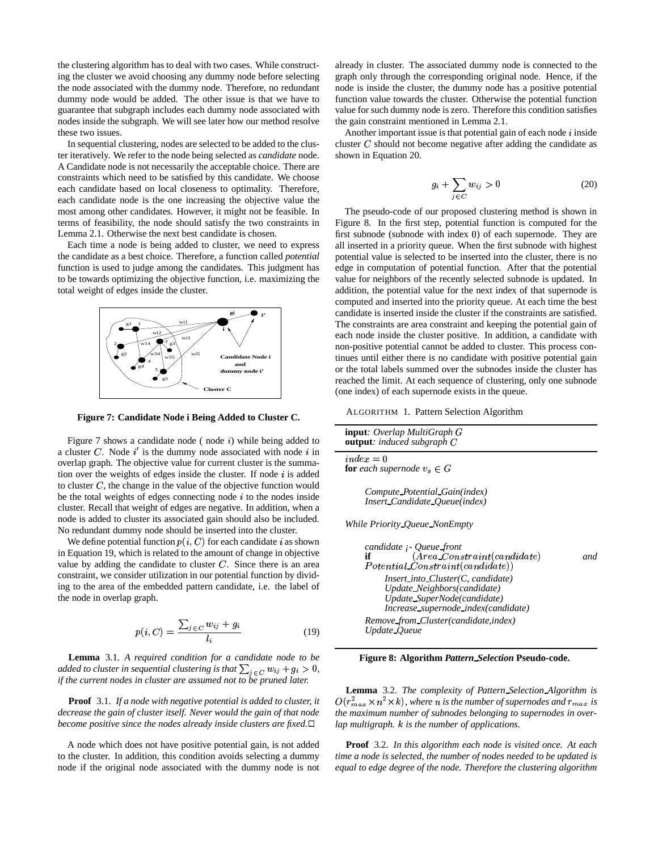the clustering algorithm has to deal with two cases. While constructing the cluster we avoid choosing any dummy node before selecting the node associated with the dummy node. Therefore, no redundant dummy node would be added. The other issue is that we have to guarantee that subgraph includes each dummy node associated with nodes inside the subgraph. We will see later how our method resolve these two issues.

In sequential clustering, nodes are selected to be added to the cluster iteratively. We refer to the node being selected as *candidate* node. A Candidate node is not necessarily the acceptable choice. There are constraints which need to be satisfied by this candidate. We choose each candidate based on local closeness to optimality. Therefore, each candidate node is the one increasing the objective value the most among other candidates. However, it might not be feasible. In terms of feasibility, the node should satisfy the two constraints in Lemma 2.1. Otherwise the next best candidate is chosen.

Each time a node is being added to cluster, we need to express the candidate as a best choice. Therefore, a function called *potential* function is used to judge among the candidates. This judgment has to be towards optimizing the objective function, i.e. maximizing the total weight of edges inside the cluster.



**Figure 7: Candidate Node i Being Added to Cluster C.**

Figure 7 shows a candidate node (node  $i$ ) while being added to a cluster C. Node  $i'$  is the dummy node associated with node  $i$  in overlap graph. The objective value for current cluster is the summation over the weights of edges inside the cluster. If node  $i$  is added to cluster  $C$ , the change in the value of the objective function would be the total weights of edges connecting node  $i$  to the nodes inside cluster. Recall that weight of edges are negative. In addition, when a node is added to cluster its associated gain should also be included. No redundant dummy node should be inserted into the cluster.

We define potential function  $p(i, C)$  for each candidate i as shown in Equation 19, which is related to the amount of change in objective value by adding the candidate to cluster  $C$ . Since there is an area constraint, we consider utilization in our potential function by dividing to the area of the embedded pattern candidate, i.e. the label of the node in overlap graph.

$$
p(i, C) = \frac{\sum_{j \in C} w_{ij} + g_i}{l_i} \tag{19}
$$

**Lemma** 3.1. *A required condition for a candidate node to be added to cluster in sequential clustering is that*  $\sum_{i \in C} w_{ij} + g_i > 0$ , *if the current nodes in cluster are assumed not to be pruned later.*

**Proof** 3.1. *If a node with negative potential is added to cluster, it decrease the gain of cluster itself. Never would the gain of that node become positive since the nodes already inside clusters are fixed.*

A node which does not have positive potential gain, is not added to the cluster. In addition, this condition avoids selecting a dummy node if the original node associated with the dummy node is not

already in cluster. The associated dummy node is connected to the graph only through the corresponding original node. Hence, if the node is inside the cluster, the dummy node has a positive potential function value towards the cluster. Otherwise the potential function value for such dummy node is zero. Therefore this condition satisfies the gain constraint mentioned in Lemma 2.1.

Another important issue is that potential gain of each node  $i$  inside cluster  $C$  should not become negative after adding the candidate as shown in Equation 20.

$$
g_i + \sum_{j \in C} w_{ij} > 0 \tag{20}
$$

The pseudo-code of our proposed clustering method is shown in Figure 8. In the first step, potential function is computed for the first subnode (subnode with index 0) of each supernode. They are all inserted in a priority queue. When the first subnode with highest potential value is selected to be inserted into the cluster, there is no edge in computation of potential function. After that the potential value for neighbors of the recently selected subnode is updated. In addition, the potential value for the next index of that supernode is computed and inserted into the priority queue. At each time the best candidate is inserted inside the cluster if the constraints are satisfied. The constraints are area constraint and keeping the potential gain of each node inside the cluster positive. In addition, a candidate with non-positive potential cannot be added to cluster. This process continues until either there is no candidate with positive potential gain or the total labels summed over the subnodes inside the cluster has reached the limit. At each sequence of clustering, only one subnode (one index) of each supernode exists in the queue.

ALGORITHM 1. Pattern Selection Algorithm

| <b>input</b> : Overlap MultiGraph G<br><b>output</b> : induced subgraph $C$                                                                                                                                                                                 |     |
|-------------------------------------------------------------------------------------------------------------------------------------------------------------------------------------------------------------------------------------------------------------|-----|
| $index = 0$<br><b>for</b> each supernode $v_s \in G$                                                                                                                                                                                                        |     |
| Compute Potential Gain(index)<br>Insert_Candidate_Oueue(index)                                                                                                                                                                                              |     |
| <i>While Priority Queue NonEmpty</i>                                                                                                                                                                                                                        |     |
| candidate <i>j</i> - Queue front<br>$(Area\_Constant(candidate))$<br>if<br>$Potential\_Constraint(candidate)$<br>$Insert\_into\_Cluster(C, candidate)$<br>Update_Neighbors(candidate)<br>Update_SuperNode(candidate)<br>Increase_supernode_index(candidate) | and |
| Remove_from_Cluster(candidate,index)<br>Update_Queue                                                                                                                                                                                                        |     |

**Figure 8: Algorithm** *Pattern Selection* **Pseudo-code.**

**Lemma** 3.2. *The complexity of Pattern Selection Algorithm is*  $O(r_{max}^2\times n^2 \times k)$ , where  $n$  is the number of supernodes and  $r_{max}$  is *the maximum number of subnodes belonging to supernodes in overlap multigraph.* <sup>Q</sup> *is the number of applications.*

**Proof** 3.2. *In this algorithm each node is visited once. At each time a node is selected, the number of nodes needed to be updated is equal to edge degree of the node. Therefore the clustering algorithm*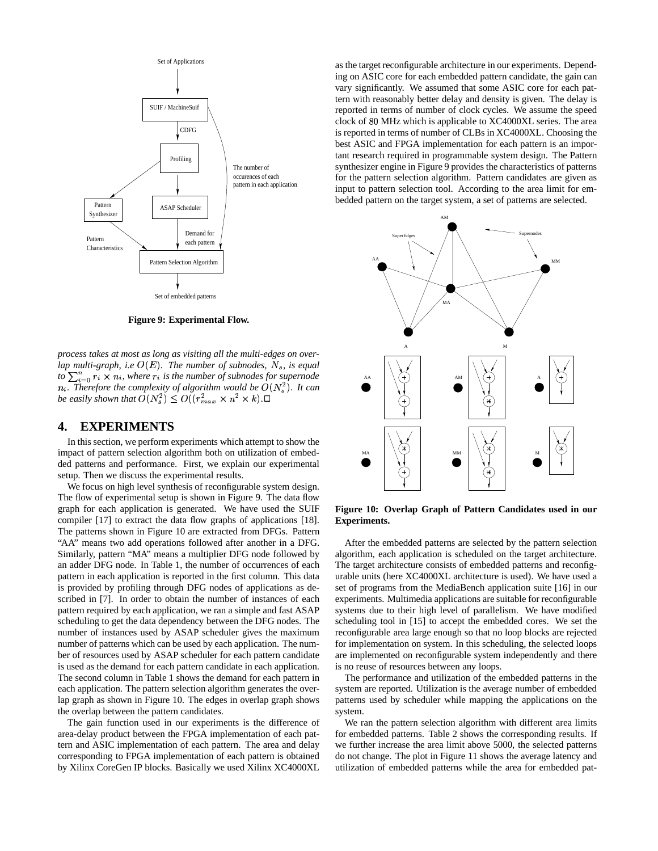

**Figure 9: Experimental Flow.**

*process takes at most as long as visiting all the multi-edges on overlap* multi-graph, i.e  $O(E)$ . The number of subnodes,  $N_s$ , is equal *to*  $\sum_{i=0}^{n} r_i \times n_i$ , where  $r_i$  is the number of subnodes for supernode *n*<sub>i</sub>. Therefore the complexity of algorithm would be  $O(N_s^2)$ . It can *be easily shown that*  $O(N_s^2) \leq O((r_{max}^2 \times n^2 \times k)$ . $\Box$ 

## **4. EXPERIMENTS**

In this section, we perform experiments which attempt to show the impact of pattern selection algorithm both on utilization of embedded patterns and performance. First, we explain our experimental setup. Then we discuss the experimental results.

We focus on high level synthesis of reconfigurable system design. The flow of experimental setup is shown in Figure 9. The data flow graph for each application is generated. We have used the SUIF compiler [17] to extract the data flow graphs of applications [18]. The patterns shown in Figure 10 are extracted from DFGs. Pattern "AA" means two add operations followed after another in a DFG. Similarly, pattern "MA" means a multiplier DFG node followed by an adder DFG node. In Table 1, the number of occurrences of each pattern in each application is reported in the first column. This data is provided by profiling through DFG nodes of applications as described in [7]. In order to obtain the number of instances of each pattern required by each application, we ran a simple and fast ASAP scheduling to get the data dependency between the DFG nodes. The number of instances used by ASAP scheduler gives the maximum number of patterns which can be used by each application. The number of resources used by ASAP scheduler for each pattern candidate is used as the demand for each pattern candidate in each application. The second column in Table 1 shows the demand for each pattern in each application. The pattern selection algorithm generates the overlap graph as shown in Figure 10. The edges in overlap graph shows the overlap between the pattern candidates.

The gain function used in our experiments is the difference of area-delay product between the FPGA implementation of each pattern and ASIC implementation of each pattern. The area and delay corresponding to FPGA implementation of each pattern is obtained by Xilinx CoreGen IP blocks. Basically we used Xilinx XC4000XL as the target reconfigurable architecture in our experiments. Depending on ASIC core for each embedded pattern candidate, the gain can vary significantly. We assumed that some ASIC core for each pattern with reasonably better delay and density is given. The delay is reported in terms of number of clock cycles. We assume the speed clock of 80 MHz which is applicable to XC4000XL series. The area is reported in terms of number of CLBs in XC4000XL. Choosing the best ASIC and FPGA implementation for each pattern is an important research required in programmable system design. The Pattern synthesizer engine in Figure 9 provides the characteristics of patterns for the pattern selection algorithm. Pattern candidates are given as input to pattern selection tool. According to the area limit for embedded pattern on the target system, a set of patterns are selected.



**Figure 10: Overlap Graph of Pattern Candidates used in our Experiments.**

After the embedded patterns are selected by the pattern selection algorithm, each application is scheduled on the target architecture. The target architecture consists of embedded patterns and reconfigurable units (here XC4000XL architecture is used). We have used a set of programs from the MediaBench application suite [16] in our experiments. Multimedia applications are suitable for reconfigurable systems due to their high level of parallelism. We have modified scheduling tool in [15] to accept the embedded cores. We set the reconfigurable area large enough so that no loop blocks are rejected for implementation on system. In this scheduling, the selected loops are implemented on reconfigurable system independently and there is no reuse of resources between any loops.

The performance and utilization of the embedded patterns in the system are reported. Utilization is the average number of embedded patterns used by scheduler while mapping the applications on the system.

We ran the pattern selection algorithm with different area limits for embedded patterns. Table 2 shows the corresponding results. If we further increase the area limit above 5000, the selected patterns do not change. The plot in Figure 11 shows the average latency and utilization of embedded patterns while the area for embedded pat-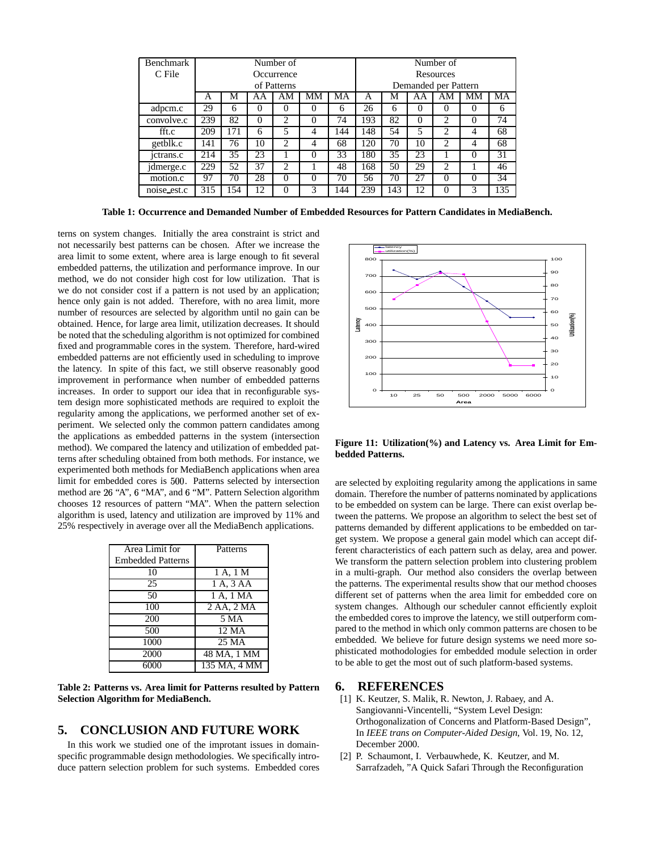| <b>Benchmark</b> | Number of   |     |          |          |          |                      | Number of |     |          |    |                |     |
|------------------|-------------|-----|----------|----------|----------|----------------------|-----------|-----|----------|----|----------------|-----|
| C File           | Occurrence  |     |          |          |          |                      | Resources |     |          |    |                |     |
|                  | of Patterns |     |          |          |          | Demanded per Pattern |           |     |          |    |                |     |
|                  | А           | М   | ΑA       | AМ       | MМ       | MA                   | A         | M   | AA       | AМ | MМ             | MA  |
| adpcm.c          | 29          | 6   | $\theta$ | $\theta$ | $\theta$ | 6                    | 26        | 6   |          | O  | $\theta$       | 6   |
| convolve.c       | 239         | 82  | $\Omega$ | 2        | 0        | 74                   | 193       | 82  | $\Omega$ | 2  | $\Omega$       | 74  |
| fft.c            | 209         | 171 | 6        | 5        | 4        | 144                  | 148       | 54  | 5        | 2  | $\overline{4}$ | 68  |
| getblk.c         | 141         | 76  | 10       | 2        | 4        | 68                   | 120       | 70  | 10       | 2  | 4              | 68  |
| jetrans.c        | 214         | 35  | 23       |          | $\Omega$ | 33                   | 180       | 35  | 23       |    | $\Omega$       | 31  |
| jdmerge.c        | 229         | 52  | 37       | 2        |          | 48                   | 168       | 50  | 29       | 2  |                | 46  |
| motion.c         | 97          | 70  | 28       | $\Omega$ | $\Omega$ | 70                   | 56        | 70  | 27       | 0  | $\Omega$       | 34  |
| noise est.c      | 315         | 154 | 12       | $\Omega$ | 3        | 144                  | 239       | 143 | 12       | 0  | 3              | 135 |

**Table 1: Occurrence and Demanded Number of Embedded Resources for Pattern Candidates in MediaBench.**

terns on system changes. Initially the area constraint is strict and not necessarily best patterns can be chosen. After we increase the area limit to some extent, where area is large enough to fit several embedded patterns, the utilization and performance improve. In our method, we do not consider high cost for low utilization. That is we do not consider cost if a pattern is not used by an application; hence only gain is not added. Therefore, with no area limit, more number of resources are selected by algorithm until no gain can be obtained. Hence, for large area limit, utilization decreases. It should be noted that the scheduling algorithm is not optimized for combined fixed and programmable cores in the system. Therefore, hard-wired embedded patterns are not efficiently used in scheduling to improve the latency. In spite of this fact, we still observe reasonably good improvement in performance when number of embedded patterns increases. In order to support our idea that in reconfigurable system design more sophisticated methods are required to exploit the regularity among the applications, we performed another set of experiment. We selected only the common pattern candidates among the applications as embedded patterns in the system (intersection method). We compared the latency and utilization of embedded patterns after scheduling obtained from both methods. For instance, we experimented both methods for MediaBench applications when area limit for embedded cores is 500. Patterns selected by intersection method are 26 "A", 6 "MA", and 6 "M". Pattern Selection algorithm chooses 12 resources of pattern "MA". When the pattern selection algorithm is used, latency and utilization are improved by 11% and 25% respectively in average over all the MediaBench applications.

| Area Limit for           | Patterns     |
|--------------------------|--------------|
| <b>Embedded Patterns</b> |              |
| 10                       | 1 A, 1 M     |
| 25                       | 1 A, 3 AA    |
| 50                       | 1 A, 1 MA    |
| 100                      | 2 AA, 2 MA   |
| 200                      | 5 MA         |
| 500                      | 12 MA        |
| 1000                     | 25 MA        |
| 2000                     | 48 MA, 1 MM  |
| 6000                     | 135 MA, 4 MM |

**Table 2: Patterns vs. Area limit for Patterns resulted by Pattern Selection Algorithm for MediaBench.**

## **5. CONCLUSION AND FUTURE WORK**

In this work we studied one of the improtant issues in domainspecific programmable design methodologies. We specifically introduce pattern selection problem for such systems. Embedded cores



**Figure 11: Utilization(%) and Latency vs. Area Limit for Embedded Patterns.**

are selected by exploiting regularity among the applications in same domain. Therefore the number of patterns nominated by applications to be embedded on system can be large. There can exist overlap between the patterns. We propose an algorithm to select the best set of patterns demanded by different applications to be embedded on target system. We propose a general gain model which can accept different characteristics of each pattern such as delay, area and power. We transform the pattern selection problem into clustering problem in a multi-graph. Our method also considers the overlap between the patterns. The experimental results show that our method chooses different set of patterns when the area limit for embedded core on system changes. Although our scheduler cannot efficiently exploit the embedded cores to improve the latency, we still outperform compared to the method in which only common patterns are chosen to be embedded. We believe for future design systems we need more sophisticated mothodologies for embedded module selection in order to be able to get the most out of such platform-based systems.

## **6. REFERENCES**

- [1] K. Keutzer, S. Malik, R. Newton, J. Rabaey, and A. Sangiovanni-Vincentelli, "System Level Design: Orthogonalization of Concerns and Platform-Based Design", In *IEEE trans on Computer-Aided Design*, Vol. 19, No. 12, December 2000.
- [2] P. Schaumont, I. Verbauwhede, K. Keutzer, and M. Sarrafzadeh, "A Quick Safari Through the Reconfiguration